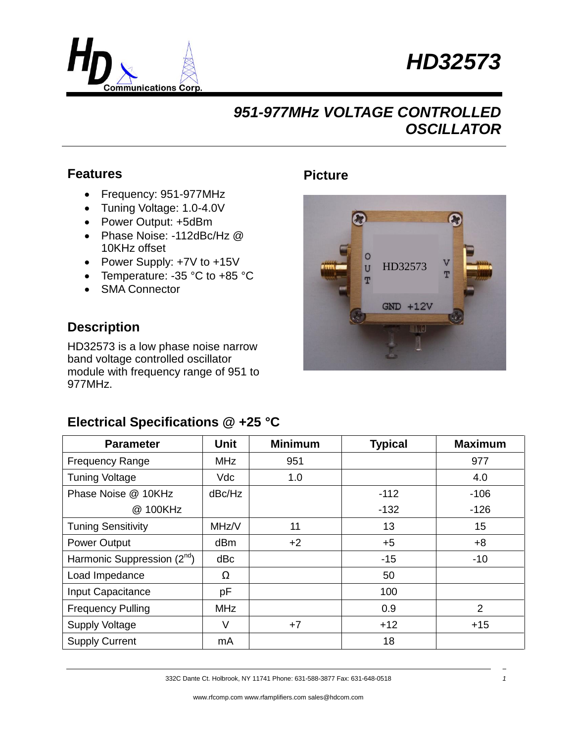



 $\overline{U}$ T HD32573

 $GND + 12V$ 

**IN3** 

**Picture**

### **Features**

- Frequency: 951-977MHz
- Tuning Voltage: 1.0-4.0V
- Power Output: +5dBm
- Phase Noise: -112dBc/Hz @ 10KHz offset
- Power Supply: +7V to +15V
- Temperature: -35 °C to +85 °C
- SMA Connector

### **Description**

HD32573 is a low phase noise narrow band voltage controlled oscillator module with frequency range of 951 to 977MHz.

### **Electrical Specifications @ +25 °C**

| <b>Parameter</b>                | <b>Unit</b> | <b>Minimum</b> | <b>Typical</b> | <b>Maximum</b> |
|---------------------------------|-------------|----------------|----------------|----------------|
| <b>Frequency Range</b>          | <b>MHz</b>  | 951            |                | 977            |
| <b>Tuning Voltage</b>           | Vdc         | 1.0            |                | 4.0            |
| Phase Noise @ 10KHz             | dBc/Hz      |                | $-112$         | $-106$         |
| @ 100KHz                        |             |                | $-132$         | $-126$         |
| <b>Tuning Sensitivity</b>       | MHz/V       | 11             | 13             | 15             |
| <b>Power Output</b>             | dBm         | $+2$           | $+5$           | $+8$           |
| Harmonic Suppression $(2^{nd})$ | dBc         |                | $-15$          | $-10$          |
| Load Impedance                  | Ω           |                | 50             |                |
| Input Capacitance               | pF          |                | 100            |                |
| <b>Frequency Pulling</b>        | <b>MHz</b>  |                | 0.9            | 2              |
| <b>Supply Voltage</b>           | V           | $+7$           | $+12$          | $+15$          |
| <b>Supply Current</b>           | mA          |                | 18             |                |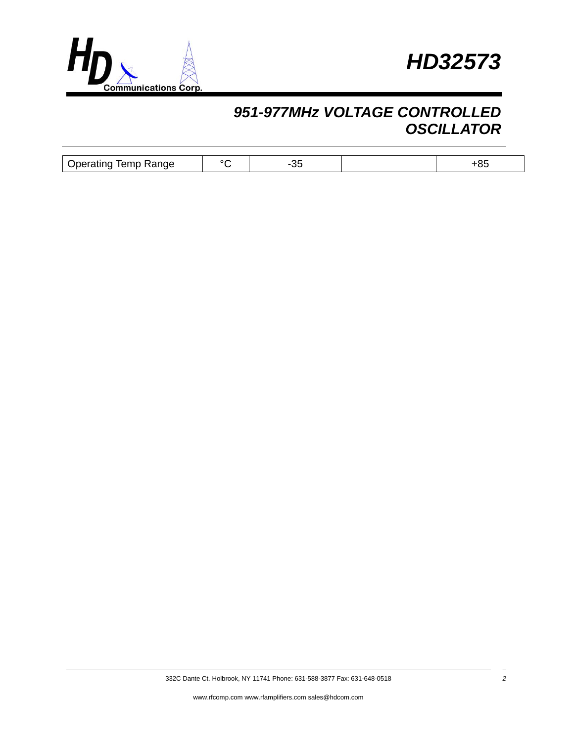



| -<br>$  -$<br>Range<br>Jperating<br><b>TENID</b> | י ה |  | u. |
|--------------------------------------------------|-----|--|----|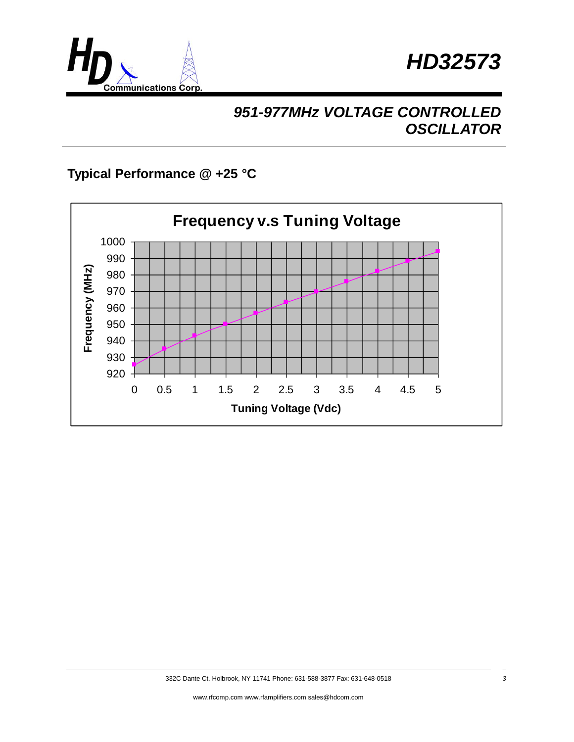



### **Typical Performance @ +25 °C**

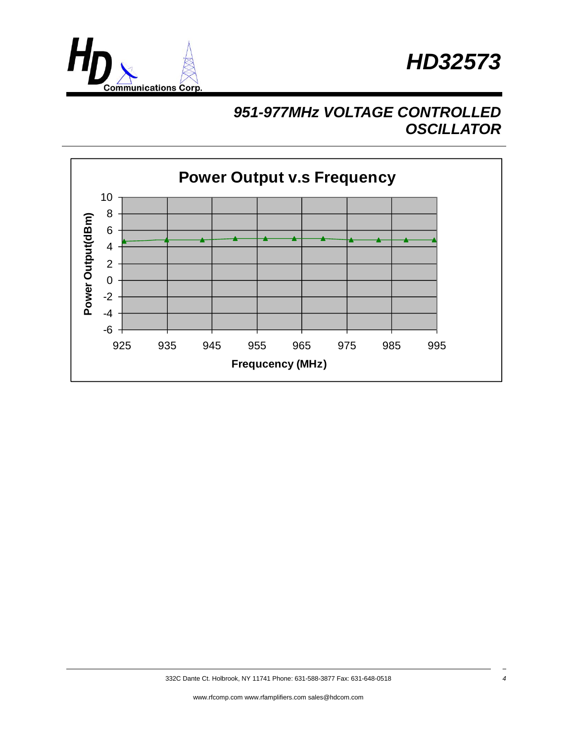